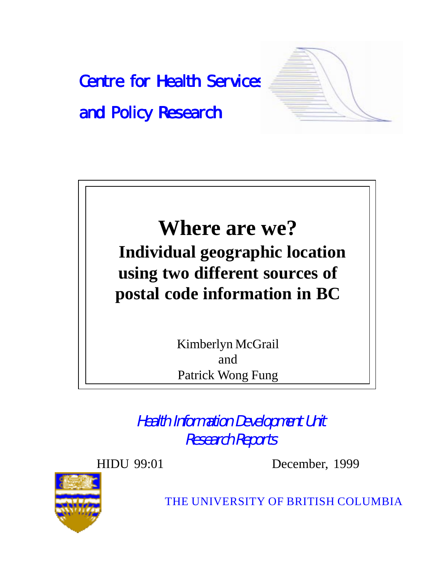



Kimberlyn McGrail and Patrick Wong Fung

Health Information Development Unit Research Reports

HIDU 99:01 December, 1999



THE UNIVERSITY OF BRITISH COLUMBIA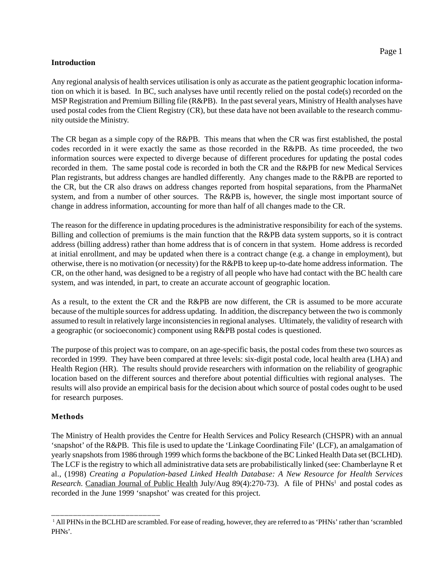### **Introduction**

Any regional analysis of health services utilisation is only as accurate as the patient geographic location information on which it is based. In BC, such analyses have until recently relied on the postal code(s) recorded on the MSP Registration and Premium Billing file (R&PB). In the past several years, Ministry of Health analyses have used postal codes from the Client Registry (CR), but these data have not been available to the research community outside the Ministry.

The CR began as a simple copy of the R&PB. This means that when the CR was first established, the postal codes recorded in it were exactly the same as those recorded in the R&PB. As time proceeded, the two information sources were expected to diverge because of different procedures for updating the postal codes recorded in them. The same postal code is recorded in both the CR and the R&PB for new Medical Services Plan registrants, but address changes are handled differently. Any changes made to the R&PB are reported to the CR, but the CR also draws on address changes reported from hospital separations, from the PharmaNet system, and from a number of other sources. The R&PB is, however, the single most important source of change in address information, accounting for more than half of all changes made to the CR.

The reason for the difference in updating procedures is the administrative responsibility for each of the systems. Billing and collection of premiums is the main function that the R&PB data system supports, so it is contract address (billing address) rather than home address that is of concern in that system. Home address is recorded at initial enrollment, and may be updated when there is a contract change (e.g. a change in employment), but otherwise, there is no motivation (or necessity) for the R&PB to keep up-to-date home address information. The CR, on the other hand, was designed to be a registry of all people who have had contact with the BC health care system, and was intended, in part, to create an accurate account of geographic location.

As a result, to the extent the CR and the R&PB are now different, the CR is assumed to be more accurate because of the multiple sources for address updating. In addition, the discrepancy between the two is commonly assumed to result in relatively large inconsistencies in regional analyses. Ultimately, the validity of research with a geographic (or socioeconomic) component using R&PB postal codes is questioned.

The purpose of this project was to compare, on an age-specific basis, the postal codes from these two sources as recorded in 1999. They have been compared at three levels: six-digit postal code, local health area (LHA) and Health Region (HR). The results should provide researchers with information on the reliability of geographic location based on the different sources and therefore about potential difficulties with regional analyses. The results will also provide an empirical basis for the decision about which source of postal codes ought to be used for research purposes.

# **Methods**

\_\_\_\_\_\_\_\_\_\_\_\_\_\_\_\_\_\_\_\_\_\_\_\_\_

The Ministry of Health provides the Centre for Health Services and Policy Research (CHSPR) with an annual 'snapshot' of the R&PB. This file is used to update the 'Linkage Coordinating File' (LCF), an amalgamation of yearly snapshots from 1986 through 1999 which forms the backbone of the BC Linked Health Data set (BCLHD). The LCF is the registry to which all administrative data sets are probabilistically linked (see: Chamberlayne R et al., (1998) *Creating a Population-based Linked Health Database: A New Resource for Health Services Research*. Canadian Journal of Public Health July/Aug 89(4):270-73). A file of PHNs<sup>1</sup> and postal codes as recorded in the June 1999 'snapshot' was created for this project.

<sup>&</sup>lt;sup>1</sup> All PHNs in the BCLHD are scrambled. For ease of reading, however, they are referred to as 'PHNs' rather than 'scrambled PHNs'.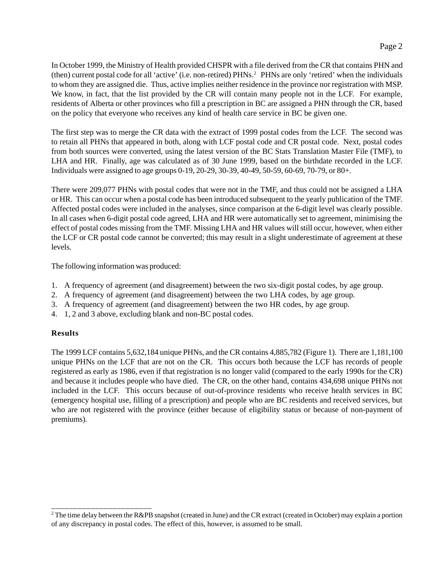In October 1999, the Ministry of Health provided CHSPR with a file derived from the CR that contains PHN and (then) current postal code for all 'active' (i.e. non-retired) PHNs.2 PHNs are only 'retired' when the individuals to whom they are assigned die. Thus, active implies neither residence in the province nor registration with MSP. We know, in fact, that the list provided by the CR will contain many people not in the LCF. For example, residents of Alberta or other provinces who fill a prescription in BC are assigned a PHN through the CR, based on the policy that everyone who receives any kind of health care service in BC be given one.

The first step was to merge the CR data with the extract of 1999 postal codes from the LCF. The second was to retain all PHNs that appeared in both, along with LCF postal code and CR postal code. Next, postal codes from both sources were converted, using the latest version of the BC Stats Translation Master File (TMF), to LHA and HR. Finally, age was calculated as of 30 June 1999, based on the birthdate recorded in the LCF. Individuals were assigned to age groups 0-19, 20-29, 30-39, 40-49, 50-59, 60-69, 70-79, or 80+.

There were 209,077 PHNs with postal codes that were not in the TMF, and thus could not be assigned a LHA or HR. This can occur when a postal code has been introduced subsequent to the yearly publication of the TMF. Affected postal codes were included in the analyses, since comparison at the 6-digit level was clearly possible. In all cases when 6-digit postal code agreed, LHA and HR were automatically set to agreement, minimising the effect of postal codes missing from the TMF. Missing LHA and HR values will still occur, however, when either the LCF or CR postal code cannot be converted; this may result in a slight underestimate of agreement at these levels.

The following information was produced:

\_\_\_\_\_\_\_\_\_\_\_\_\_\_\_\_\_\_\_\_\_\_\_

- 1. A frequency of agreement (and disagreement) between the two six-digit postal codes, by age group.
- 2. A frequency of agreement (and disagreement) between the two LHA codes, by age group.
- 3. A frequency of agreement (and disagreement) between the two HR codes, by age group.
- 4. 1, 2 and 3 above, excluding blank and non-BC postal codes.

# **Results**

The 1999 LCF contains 5,632,184 unique PHNs, and the CR contains 4,885,782 (Figure 1). There are 1,181,100 unique PHNs on the LCF that are not on the CR. This occurs both because the LCF has records of people registered as early as 1986, even if that registration is no longer valid (compared to the early 1990s for the CR) and because it includes people who have died. The CR, on the other hand, contains 434,698 unique PHNs not included in the LCF. This occurs because of out-of-province residents who receive health services in BC (emergency hospital use, filling of a prescription) and people who are BC residents and received services, but who are not registered with the province (either because of eligibility status or because of non-payment of premiums).

<sup>&</sup>lt;sup>2</sup> The time delay between the R&PB snapshot (created in June) and the CR extract (created in October) may explain a portion of any discrepancy in postal codes. The effect of this, however, is assumed to be small.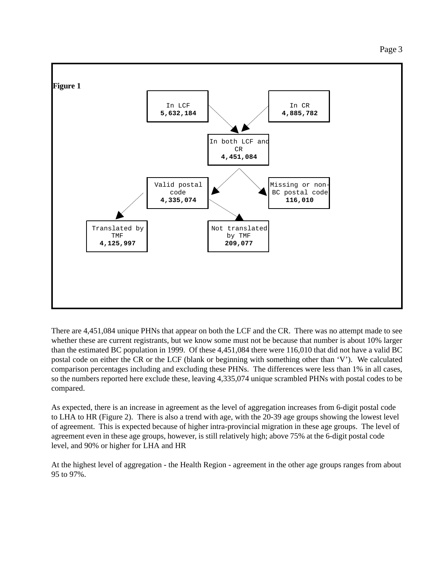

There are 4,451,084 unique PHNs that appear on both the LCF and the CR. There was no attempt made to see whether these are current registrants, but we know some must not be because that number is about 10% larger than the estimated BC population in 1999. Of these 4,451,084 there were 116,010 that did not have a valid BC postal code on either the CR or the LCF (blank or beginning with something other than 'V'). We calculated comparison percentages including and excluding these PHNs. The differences were less than 1% in all cases, so the numbers reported here exclude these, leaving 4,335,074 unique scrambled PHNs with postal codes to be compared.

As expected, there is an increase in agreement as the level of aggregation increases from 6-digit postal code to LHA to HR (Figure 2). There is also a trend with age, with the 20-39 age groups showing the lowest level of agreement. This is expected because of higher intra-provincial migration in these age groups. The level of agreement even in these age groups, however, is still relatively high; above 75% at the 6-digit postal code level, and 90% or higher for LHA and HR

At the highest level of aggregation - the Health Region - agreement in the other age groups ranges from about 95 to 97%.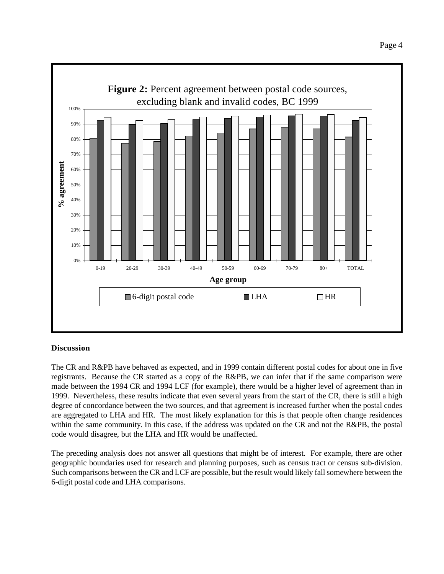

# **Discussion**

The CR and R&PB have behaved as expected, and in 1999 contain different postal codes for about one in five registrants. Because the CR started as a copy of the R&PB, we can infer that if the same comparison were made between the 1994 CR and 1994 LCF (for example), there would be a higher level of agreement than in 1999. Nevertheless, these results indicate that even several years from the start of the CR, there is still a high degree of concordance between the two sources, and that agreement is increased further when the postal codes are aggregated to LHA and HR. The most likely explanation for this is that people often change residences within the same community. In this case, if the address was updated on the CR and not the R&PB, the postal code would disagree, but the LHA and HR would be unaffected.

The preceding analysis does not answer all questions that might be of interest. For example, there are other geographic boundaries used for research and planning purposes, such as census tract or census sub-division. Such comparisons between the CR and LCF are possible, but the result would likely fall somewhere between the 6-digit postal code and LHA comparisons.